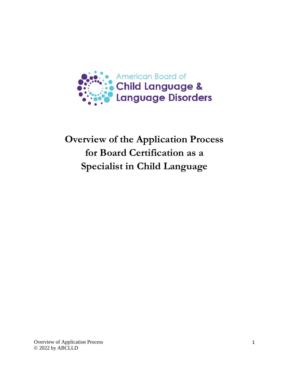

# **Overview of the Application Process for Board Certification as a Specialist in Child Language**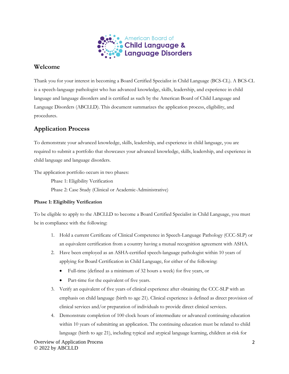

## **Welcome**

Thank you for your interest in becoming a Board Certified Specialist in Child Language (BCS-CL). A BCS-CL is a speech-language pathologist who has advanced knowledge, skills, leadership, and experience in child language and language disorders and is certified as such by the American Board of Child Language and Language Disorders (ABCLLD). This document summarizes the application process, eligibility, and procedures.

# **Application Process**

To demonstrate your advanced knowledge, skills, leadership, and experience in child language, you are required to submit a portfolio that showcases your advanced knowledge, skills, leadership, and experience in child language and language disorders.

The application portfolio occurs in two phases:

Phase 1: Eligibility Verification Phase 2: Case Study (Clinical or Academic-Administrative)

## **Phase 1: Eligibility Verification**

To be eligible to apply to the ABCLLD to become a Board Certified Specialist in Child Language, you must be in compliance with the following:

- 1. Hold a current Certificate of Clinical Competence in Speech-Language Pathology (CCC-SLP) or an equivalent certification from a country having a mutual recognition agreement with ASHA.
- 2. Have been employed as an ASHA-certified speech-language pathologist within 10 years of applying for Board Certification in Child Language, for either of the following:
	- Full-time (defined as a minimum of 32 hours a week) for five years, or
	- Part-time for the equivalent of five years.
- 3. Verify an equivalent of five years of clinical experience after obtaining the CCC-SLP with an emphasis on child language (birth to age 21). Clinical experience is defined as direct provision of clinical services and/or preparation of individuals to provide direct clinical services.
- 4. Demonstrate completion of 100 clock hours of intermediate or advanced continuing education within 10 years of submitting an application. The continuing education must be related to child language (birth to age 21), including typical and atypical language learning, children at-risk for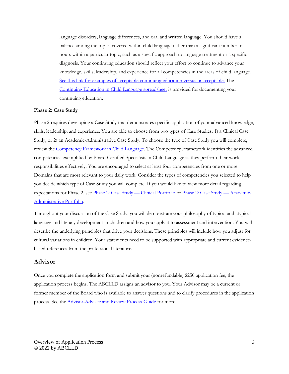language disorders, language differences, and oral and written language. You should have a balance among the topics covered within child language rather than a significant number of hours within a particular topic, such as a specific approach to language treatment or a specific diagnosis. Your continuing education should reflect your effort to continue to advance your knowledge, skills, leadership, and experience for all competencies in the areas of child language. [See this link for examples of acceptable continuing education versus unacceptable.](https://www.childlanguagespecialist.org/wp-content/uploads/2022/01/ForApplicants.AcceptableCE_2022.pdf) The [Continuing Education in Child Language](https://www.childlanguagespecialist.org/wp-content/uploads/2022/03/Continuing-Ed-in-CL_2022.pdf) spreadsheet is provided for documenting your continuing education.

#### **Phase 2: Case Study**

Phase 2 requires developing a Case Study that demonstrates specific application of your advanced knowledge, skills, leadership, and experience. You are able to choose from two types of Case Studies: 1) a Clinical Case Study, or 2) an Academic-Administrative Case Study. To choose the type of Case Study you will complete, review th[e Competency Framework in Child Language.](https://www.childlanguagespecialist.org/wp-content/uploads/2022/05/Competency-Framework_2022.pdf) The Competency Framework identifies the advanced competencies exemplified by Board Certified Specialists in Child Language as they perform their work responsibilities effectively. You are encouraged to select at least four competencies from one or more Domains that are most relevant to your daily work. Consider the types of competencies you selected to help you decide which type of Case Study you will complete. If you would like to view more detail regarding expectations for Phase 2, see [Phase 2: Case Study —](https://www.childlanguagespecialist.org/wp-content/uploads/2022/03/CC.Phase2_.Checklist.2022.2.pdf) Clinical Portfolio or [Phase 2: Case Study —](https://www.childlanguagespecialist.org/wp-content/uploads/2022/03/AA.Phase2_.Checklist_2022.2.pdf) Academic-[Administrative Portfolio.](https://www.childlanguagespecialist.org/wp-content/uploads/2022/03/AA.Phase2_.Checklist_2022.2.pdf)

Throughout your discussion of the Case Study, you will demonstrate your philosophy of typical and atypical language and literacy development in children and how you apply it to assessment and intervention. You will describe the underlying principles that drive your decisions. These principles will include how you adjust for cultural variations in children. Your statements need to be supported with appropriate and current evidencebased references from the professional literature.

### **Advisor**

Once you complete the application form and submit your (nonrefundable) \$250 application fee, the application process begins. The ABCLLD assigns an advisor to you. Your Advisor may be a current or former member of the Board who is available to answer questions and to clarify procedures in the application process. See the [Advisor-Advisee and Review Process Guide](https://www.childlanguagespecialist.org/wp-content/uploads/2022/01/Advisor.Advisee.Review.Guide_2022.pdf) for more.